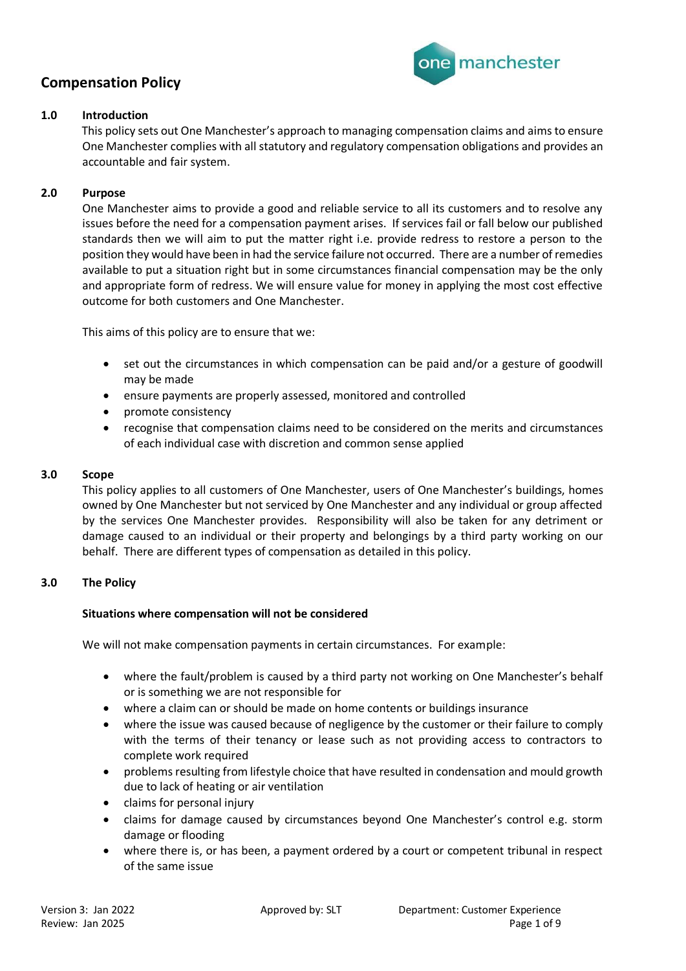

## **1.0 Introduction**

This policy sets out One Manchester's approach to managing compensation claims and aims to ensure One Manchester complies with all statutory and regulatory compensation obligations and provides an accountable and fair system.

## **2.0 Purpose**

One Manchester aims to provide a good and reliable service to all its customers and to resolve any issues before the need for a compensation payment arises. If services fail or fall below our published standards then we will aim to put the matter right i.e. provide redress to restore a person to the position they would have been in had the service failure not occurred. There are a number of remedies available to put a situation right but in some circumstances financial compensation may be the only and appropriate form of redress. We will ensure value for money in applying the most cost effective outcome for both customers and One Manchester.

This aims of this policy are to ensure that we:

- set out the circumstances in which compensation can be paid and/or a gesture of goodwill may be made
- ensure payments are properly assessed, monitored and controlled
- promote consistency
- recognise that compensation claims need to be considered on the merits and circumstances of each individual case with discretion and common sense applied

## **3.0 Scope**

This policy applies to all customers of One Manchester, users of One Manchester's buildings, homes owned by One Manchester but not serviced by One Manchester and any individual or group affected by the services One Manchester provides. Responsibility will also be taken for any detriment or damage caused to an individual or their property and belongings by a third party working on our behalf. There are different types of compensation as detailed in this policy.

## **3.0 The Policy**

## **Situations where compensation will not be considered**

We will not make compensation payments in certain circumstances. For example:

- where the fault/problem is caused by a third party not working on One Manchester's behalf or is something we are not responsible for
- where a claim can or should be made on home contents or buildings insurance
- where the issue was caused because of negligence by the customer or their failure to comply with the terms of their tenancy or lease such as not providing access to contractors to complete work required
- problems resulting from lifestyle choice that have resulted in condensation and mould growth due to lack of heating or air ventilation
- claims for personal injury
- claims for damage caused by circumstances beyond One Manchester's control e.g. storm damage or flooding
- where there is, or has been, a payment ordered by a court or competent tribunal in respect of the same issue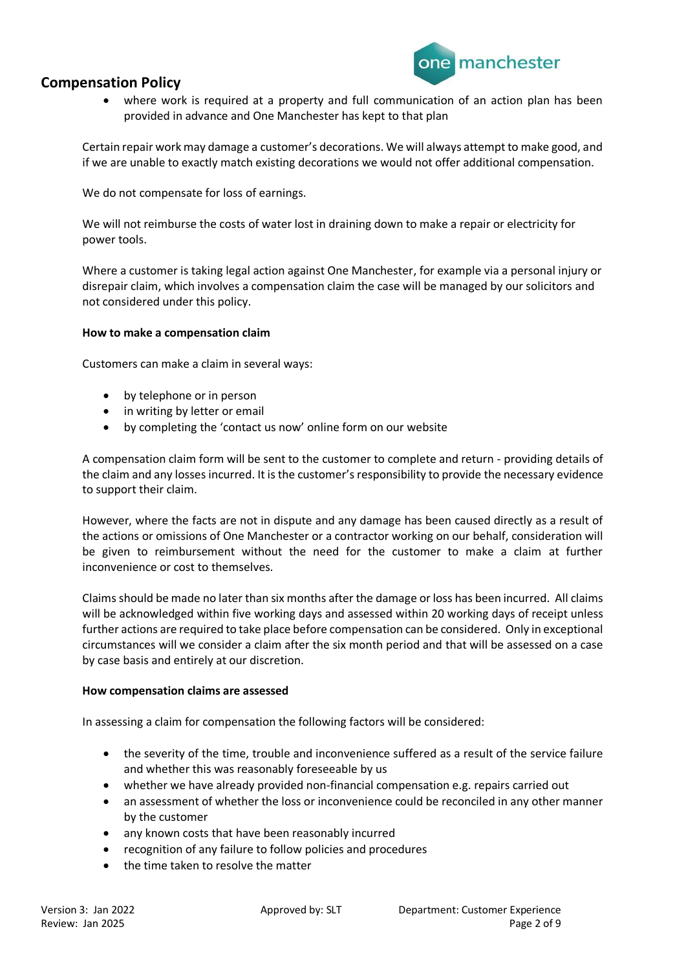

• where work is required at a property and full communication of an action plan has been provided in advance and One Manchester has kept to that plan

Certain repair work may damage a customer's decorations. We will always attempt to make good, and if we are unable to exactly match existing decorations we would not offer additional compensation.

We do not compensate for loss of earnings.

We will not reimburse the costs of water lost in draining down to make a repair or electricity for power tools.

Where a customer is taking legal action against One Manchester, for example via a personal injury or disrepair claim, which involves a compensation claim the case will be managed by our solicitors and not considered under this policy.

### **How to make a compensation claim**

Customers can make a claim in several ways:

- by telephone or in person
- in writing by letter or email
- by completing the 'contact us now' online form on our website

A compensation claim form will be sent to the customer to complete and return - providing details of the claim and any losses incurred. It is the customer's responsibility to provide the necessary evidence to support their claim.

However, where the facts are not in dispute and any damage has been caused directly as a result of the actions or omissions of One Manchester or a contractor working on our behalf, consideration will be given to reimbursement without the need for the customer to make a claim at further inconvenience or cost to themselves.

Claims should be made no later than six months after the damage or loss has been incurred. All claims will be acknowledged within five working days and assessed within 20 working days of receipt unless further actions are required to take place before compensation can be considered. Only in exceptional circumstances will we consider a claim after the six month period and that will be assessed on a case by case basis and entirely at our discretion.

### **How compensation claims are assessed**

In assessing a claim for compensation the following factors will be considered:

- the severity of the time, trouble and inconvenience suffered as a result of the service failure and whether this was reasonably foreseeable by us
- whether we have already provided non-financial compensation e.g. repairs carried out
- an assessment of whether the loss or inconvenience could be reconciled in any other manner by the customer
- any known costs that have been reasonably incurred
- recognition of any failure to follow policies and procedures
- the time taken to resolve the matter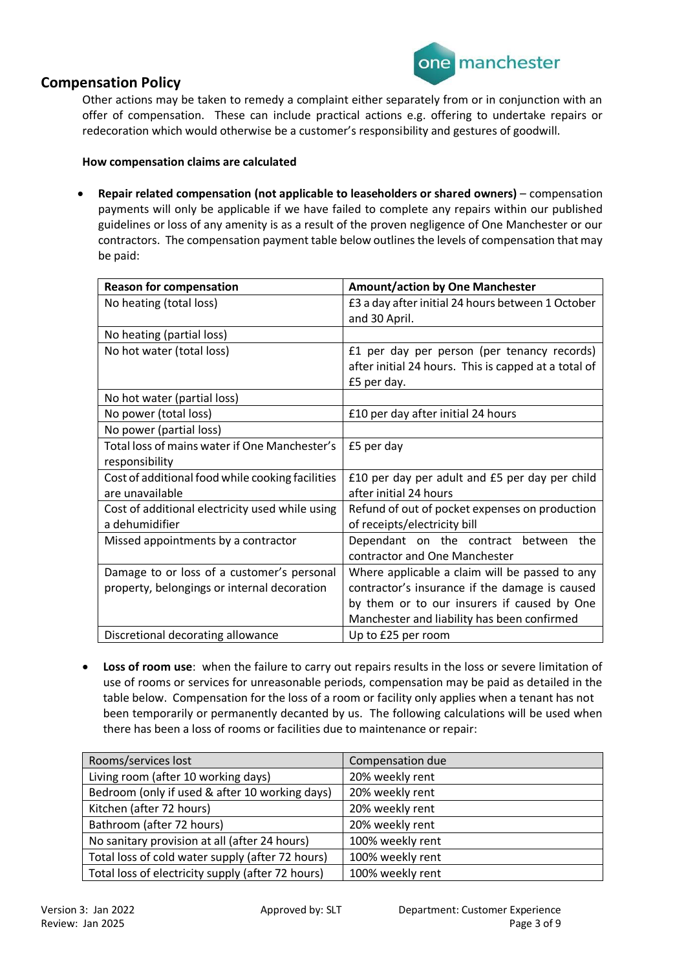

Other actions may be taken to remedy a complaint either separately from or in conjunction with an offer of compensation. These can include practical actions e.g. offering to undertake repairs or redecoration which would otherwise be a customer's responsibility and gestures of goodwill.

### **How compensation claims are calculated**

• **Repair related compensation (not applicable to leaseholders or shared owners)** – compensation payments will only be applicable if we have failed to complete any repairs within our published guidelines or loss of any amenity is as a result of the proven negligence of One Manchester or our contractors. The compensation payment table below outlines the levels of compensation that may be paid:

| <b>Reason for compensation</b>                   | <b>Amount/action by One Manchester</b>               |
|--------------------------------------------------|------------------------------------------------------|
| No heating (total loss)                          | £3 a day after initial 24 hours between 1 October    |
|                                                  | and 30 April.                                        |
| No heating (partial loss)                        |                                                      |
| No hot water (total loss)                        | £1 per day per person (per tenancy records)          |
|                                                  | after initial 24 hours. This is capped at a total of |
|                                                  | £5 per day.                                          |
| No hot water (partial loss)                      |                                                      |
| No power (total loss)                            | £10 per day after initial 24 hours                   |
| No power (partial loss)                          |                                                      |
| Total loss of mains water if One Manchester's    | £5 per day                                           |
| responsibility                                   |                                                      |
| Cost of additional food while cooking facilities | £10 per day per adult and £5 per day per child       |
| are unavailable                                  | after initial 24 hours                               |
| Cost of additional electricity used while using  | Refund of out of pocket expenses on production       |
| a dehumidifier                                   | of receipts/electricity bill                         |
| Missed appointments by a contractor              | Dependant on the contract between<br>the             |
|                                                  | contractor and One Manchester                        |
| Damage to or loss of a customer's personal       | Where applicable a claim will be passed to any       |
| property, belongings or internal decoration      | contractor's insurance if the damage is caused       |
|                                                  | by them or to our insurers if caused by One          |
|                                                  | Manchester and liability has been confirmed          |
| Discretional decorating allowance                | Up to £25 per room                                   |

• **Loss of room use**: when the failure to carry out repairs results in the loss or severe limitation of use of rooms or services for unreasonable periods, compensation may be paid as detailed in the table below. Compensation for the loss of a room or facility only applies when a tenant has not been temporarily or permanently decanted by us. The following calculations will be used when there has been a loss of rooms or facilities due to maintenance or repair:

| Rooms/services lost                               | Compensation due |
|---------------------------------------------------|------------------|
| Living room (after 10 working days)               | 20% weekly rent  |
| Bedroom (only if used & after 10 working days)    | 20% weekly rent  |
| Kitchen (after 72 hours)                          | 20% weekly rent  |
| Bathroom (after 72 hours)                         | 20% weekly rent  |
| No sanitary provision at all (after 24 hours)     | 100% weekly rent |
| Total loss of cold water supply (after 72 hours)  | 100% weekly rent |
| Total loss of electricity supply (after 72 hours) | 100% weekly rent |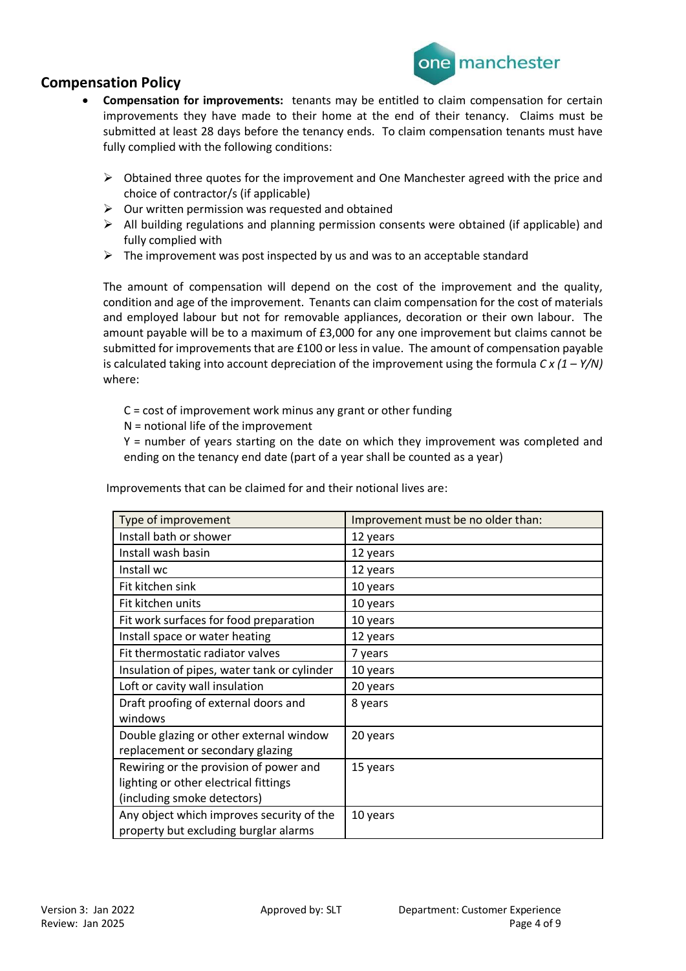

- **Compensation for improvements:** tenants may be entitled to claim compensation for certain improvements they have made to their home at the end of their tenancy. Claims must be submitted at least 28 days before the tenancy ends. To claim compensation tenants must have fully complied with the following conditions:
	- $\triangleright$  Obtained three quotes for the improvement and One Manchester agreed with the price and choice of contractor/s (if applicable)
	- $\triangleright$  Our written permission was requested and obtained
	- ➢ All building regulations and planning permission consents were obtained (if applicable) and fully complied with
	- $\triangleright$  The improvement was post inspected by us and was to an acceptable standard

The amount of compensation will depend on the cost of the improvement and the quality, condition and age of the improvement. Tenants can claim compensation for the cost of materials and employed labour but not for removable appliances, decoration or their own labour. The amount payable will be to a maximum of £3,000 for any one improvement but claims cannot be submitted for improvements that are £100 or less in value. The amount of compensation payable is calculated taking into account depreciation of the improvement using the formula *C x (1 – Y/N)* where:

C = cost of improvement work minus any grant or other funding

N = notional life of the improvement

Y = number of years starting on the date on which they improvement was completed and ending on the tenancy end date (part of a year shall be counted as a year)

| Improvements that can be claimed for and their notional lives are: |  |
|--------------------------------------------------------------------|--|
|                                                                    |  |

| Type of improvement                         | Improvement must be no older than: |
|---------------------------------------------|------------------------------------|
| Install bath or shower                      | 12 years                           |
| Install wash basin                          | 12 years                           |
| Install wc                                  | 12 years                           |
| Fit kitchen sink                            | 10 years                           |
| Fit kitchen units                           | 10 years                           |
| Fit work surfaces for food preparation      | 10 years                           |
| Install space or water heating              | 12 years                           |
| Fit thermostatic radiator valves            | 7 years                            |
| Insulation of pipes, water tank or cylinder | 10 years                           |
| Loft or cavity wall insulation              | 20 years                           |
| Draft proofing of external doors and        | 8 years                            |
| windows                                     |                                    |
| Double glazing or other external window     | 20 years                           |
| replacement or secondary glazing            |                                    |
| Rewiring or the provision of power and      | 15 years                           |
| lighting or other electrical fittings       |                                    |
| (including smoke detectors)                 |                                    |
| Any object which improves security of the   | 10 years                           |
| property but excluding burglar alarms       |                                    |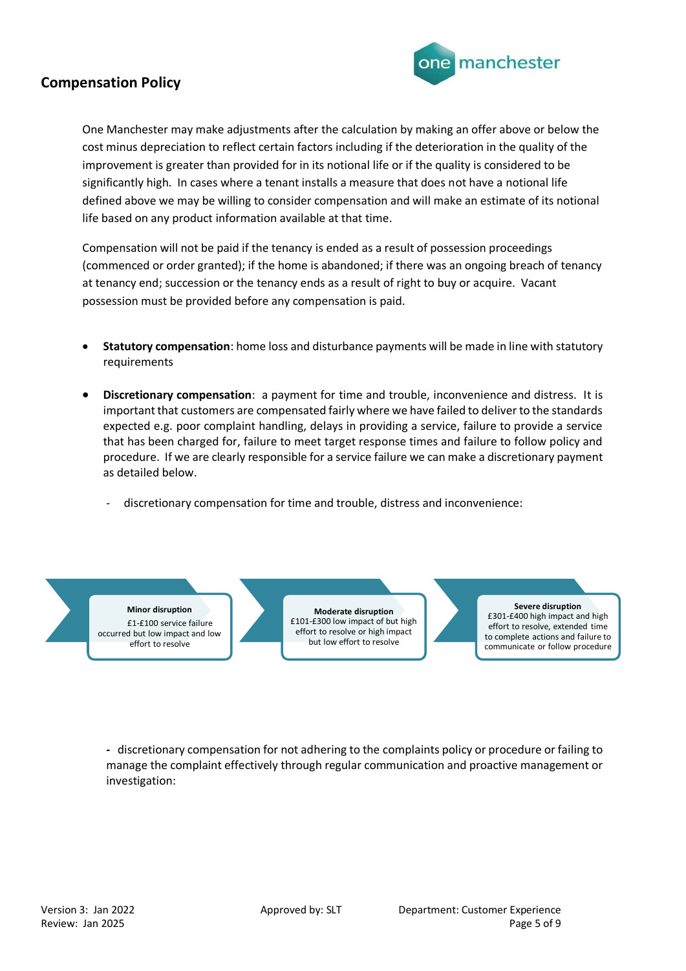

One Manchester may make adjustments after the calculation by making an offer above or below the cost minus depreciation to reflect certain factors including if the deterioration in the quality of the improvement is greater than provided for in its notional life or if the quality is considered to be significantly high. In cases where a tenant installs a measure that does not have a notional life defined above we may be willing to consider compensation and will make an estimate of its notional life based on any product information available at that time.

Compensation will not be paid if the tenancy is ended as a result of possession proceedings (commenced or order granted); if the home is abandoned; if there was an ongoing breach of tenancy at tenancy end; succession or the tenancy ends as a result of right to buy or acquire. Vacant possession must be provided before any compensation is paid.

- **Statutory compensation**: home loss and disturbance payments will be made in line with statutory requirements
- **Discretionary compensation**: a payment for time and trouble, inconvenience and distress. It is important that customers are compensated fairly where we have failed to deliver to the standards expected e.g. poor complaint handling, delays in providing a service, failure to provide a service that has been charged for, failure to meet target response times and failure to follow policy and procedure. If we are clearly responsible for a service failure we can make a discretionary payment as detailed below.
	- discretionary compensation for time and trouble, distress and inconvenience:

# **Minor disruption**

£1-£100 service failure occurred but low impact and low effort to resolve

**Moderate disruption**  £101-£300 low impact of but high effort to resolve or high impact but low effort to resolve

**Severe disruption**  £301-£400 high impact and high effort to resolve, extended time to complete actions and failure to communicate or follow procedure

**-** discretionary compensation for not adhering to the complaints policy or procedure or failing to manage the complaint effectively through regular communication and proactive management or investigation: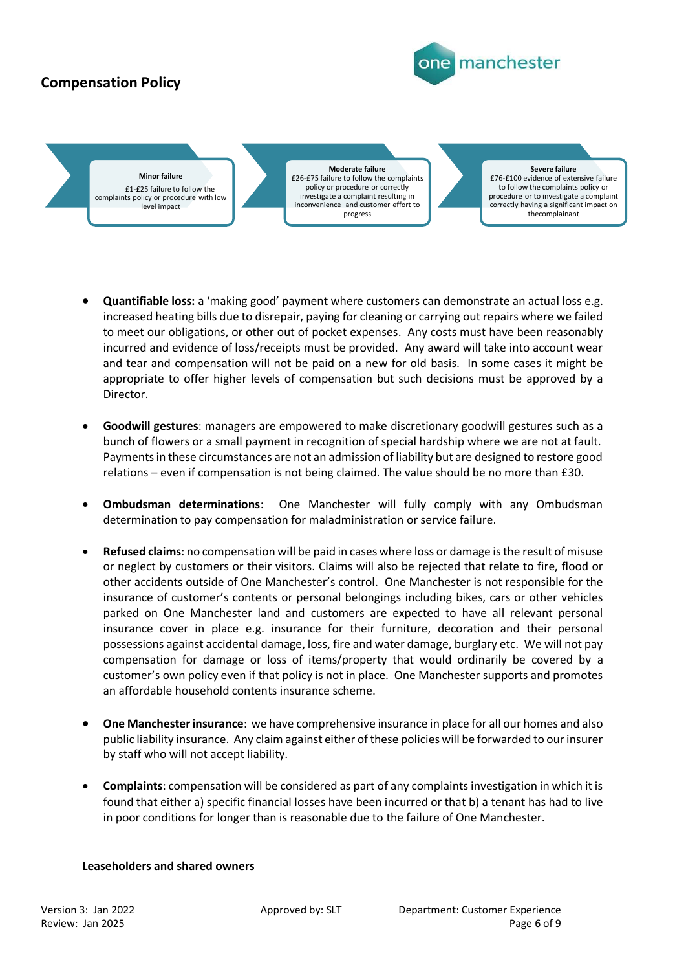

**Minor failure** £1-£25 failure to follow the complaints policy or procedure with low level impact

**Moderate failure**  £26-£75 failure to follow the complaints policy or procedure or correctly investigate a complaint resulting in inconvenience and customer effort to progress

**Severe failure**  £76-£100 evidence of extensive failure to follow the complaints policy or procedure or to investigate a complaint correctly having a significant impact on thecomplainant

- **Quantifiable loss:** a 'making good' payment where customers can demonstrate an actual loss e.g. increased heating bills due to disrepair, paying for cleaning or carrying out repairs where we failed to meet our obligations, or other out of pocket expenses. Any costs must have been reasonably incurred and evidence of loss/receipts must be provided. Any award will take into account wear and tear and compensation will not be paid on a new for old basis. In some cases it might be appropriate to offer higher levels of compensation but such decisions must be approved by a Director.
- **Goodwill gestures**: managers are empowered to make discretionary goodwill gestures such as a bunch of flowers or a small payment in recognition of special hardship where we are not at fault. Payments in these circumstances are not an admission of liability but are designed to restore good relations – even if compensation is not being claimed. The value should be no more than £30.
- **Ombudsman determinations**: One Manchester will fully comply with any Ombudsman determination to pay compensation for maladministration or service failure.
- **Refused claims**: no compensation will be paid in cases where loss or damage is the result of misuse or neglect by customers or their visitors. Claims will also be rejected that relate to fire, flood or other accidents outside of One Manchester's control. One Manchester is not responsible for the insurance of customer's contents or personal belongings including bikes, cars or other vehicles parked on One Manchester land and customers are expected to have all relevant personal insurance cover in place e.g. insurance for their furniture, decoration and their personal possessions against accidental damage, loss, fire and water damage, burglary etc. We will not pay compensation for damage or loss of items/property that would ordinarily be covered by a customer's own policy even if that policy is not in place. One Manchester supports and promotes an affordable household contents insurance scheme.
- **One Manchesterinsurance**: we have comprehensive insurance in place for all our homes and also public liability insurance. Any claim against either of these policies will be forwarded to our insurer by staff who will not accept liability.
- **Complaints**: compensation will be considered as part of any complaints investigation in which it is found that either a) specific financial losses have been incurred or that b) a tenant has had to live in poor conditions for longer than is reasonable due to the failure of One Manchester.

## **Leaseholders and shared owners**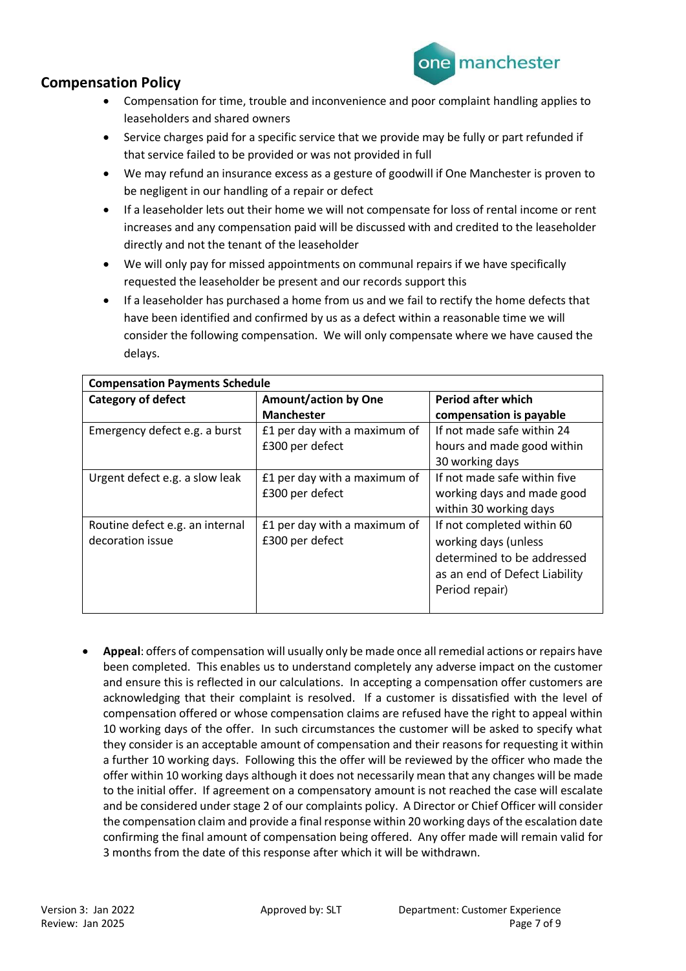



- Compensation for time, trouble and inconvenience and poor complaint handling applies to leaseholders and shared owners
- Service charges paid for a specific service that we provide may be fully or part refunded if that service failed to be provided or was not provided in full
- We may refund an insurance excess as a gesture of goodwill if One Manchester is proven to be negligent in our handling of a repair or defect
- If a leaseholder lets out their home we will not compensate for loss of rental income or rent increases and any compensation paid will be discussed with and credited to the leaseholder directly and not the tenant of the leaseholder
- We will only pay for missed appointments on communal repairs if we have specifically requested the leaseholder be present and our records support this
- If a leaseholder has purchased a home from us and we fail to rectify the home defects that have been identified and confirmed by us as a defect within a reasonable time we will consider the following compensation. We will only compensate where we have caused the delays.

| <b>Compensation Payments Schedule</b> |                              |                               |  |
|---------------------------------------|------------------------------|-------------------------------|--|
| <b>Category of defect</b>             | <b>Amount/action by One</b>  | <b>Period after which</b>     |  |
|                                       | <b>Manchester</b>            | compensation is payable       |  |
| Emergency defect e.g. a burst         | £1 per day with a maximum of | If not made safe within 24    |  |
|                                       | £300 per defect              | hours and made good within    |  |
|                                       |                              | 30 working days               |  |
| Urgent defect e.g. a slow leak        | £1 per day with a maximum of | If not made safe within five  |  |
|                                       | £300 per defect              | working days and made good    |  |
|                                       |                              | within 30 working days        |  |
| Routine defect e.g. an internal       | £1 per day with a maximum of | If not completed within 60    |  |
| decoration issue                      | £300 per defect              | working days (unless          |  |
|                                       |                              | determined to be addressed    |  |
|                                       |                              | as an end of Defect Liability |  |
|                                       |                              | Period repair)                |  |
|                                       |                              |                               |  |

• **Appeal**: offers of compensation will usually only be made once all remedial actions or repairs have been completed. This enables us to understand completely any adverse impact on the customer and ensure this is reflected in our calculations. In accepting a compensation offer customers are acknowledging that their complaint is resolved. If a customer is dissatisfied with the level of compensation offered or whose compensation claims are refused have the right to appeal within 10 working days of the offer. In such circumstances the customer will be asked to specify what they consider is an acceptable amount of compensation and their reasons for requesting it within a further 10 working days. Following this the offer will be reviewed by the officer who made the offer within 10 working days although it does not necessarily mean that any changes will be made to the initial offer. If agreement on a compensatory amount is not reached the case will escalate and be considered under stage 2 of our complaints policy. A Director or Chief Officer will consider the compensation claim and provide a final response within 20 working days of the escalation date confirming the final amount of compensation being offered. Any offer made will remain valid for 3 months from the date of this response after which it will be withdrawn.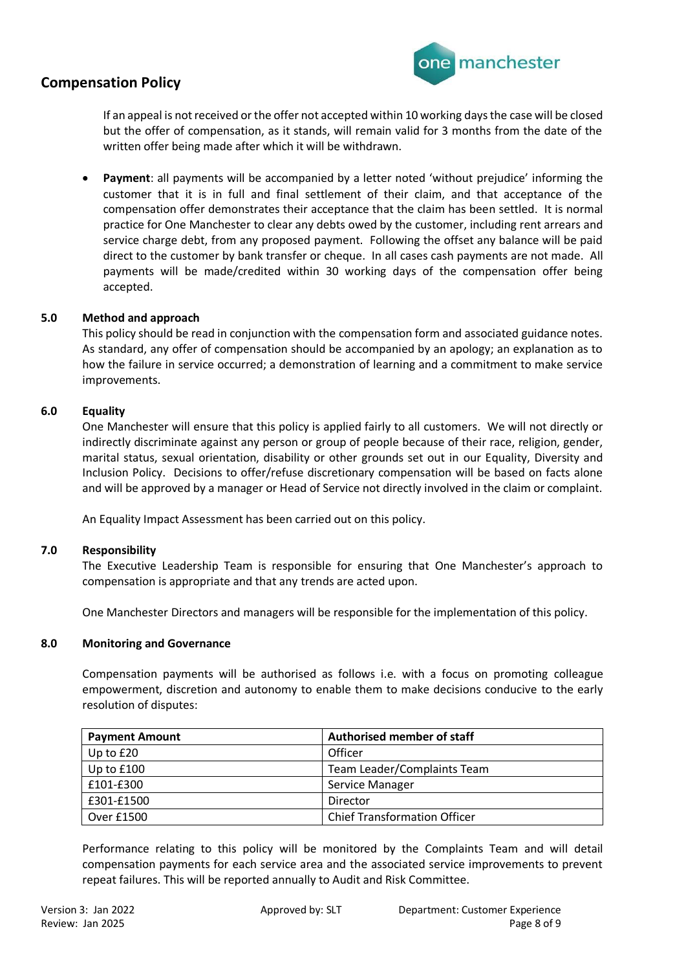

If an appeal is not received or the offer not accepted within 10 working days the case will be closed but the offer of compensation, as it stands, will remain valid for 3 months from the date of the written offer being made after which it will be withdrawn.

• **Payment**: all payments will be accompanied by a letter noted 'without prejudice' informing the customer that it is in full and final settlement of their claim, and that acceptance of the compensation offer demonstrates their acceptance that the claim has been settled. It is normal practice for One Manchester to clear any debts owed by the customer, including rent arrears and service charge debt, from any proposed payment. Following the offset any balance will be paid direct to the customer by bank transfer or cheque. In all cases cash payments are not made. All payments will be made/credited within 30 working days of the compensation offer being accepted.

## **5.0 Method and approach**

This policy should be read in conjunction with the compensation form and associated guidance notes. As standard, any offer of compensation should be accompanied by an apology; an explanation as to how the failure in service occurred; a demonstration of learning and a commitment to make service improvements.

### **6.0 Equality**

One Manchester will ensure that this policy is applied fairly to all customers. We will not directly or indirectly discriminate against any person or group of people because of their race, religion, gender, marital status, sexual orientation, disability or other grounds set out in our Equality, Diversity and Inclusion Policy. Decisions to offer/refuse discretionary compensation will be based on facts alone and will be approved by a manager or Head of Service not directly involved in the claim or complaint.

An Equality Impact Assessment has been carried out on this policy.

### **7.0 Responsibility**

The Executive Leadership Team is responsible for ensuring that One Manchester's approach to compensation is appropriate and that any trends are acted upon.

One Manchester Directors and managers will be responsible for the implementation of this policy.

### **8.0 Monitoring and Governance**

Compensation payments will be authorised as follows i.e. with a focus on promoting colleague empowerment, discretion and autonomy to enable them to make decisions conducive to the early resolution of disputes:

| <b>Payment Amount</b> | <b>Authorised member of staff</b>   |
|-----------------------|-------------------------------------|
| Up to $£20$           | Officer                             |
| Up to $£100$          | Team Leader/Complaints Team         |
| £101-£300             | Service Manager                     |
| £301-£1500            | Director                            |
| Over £1500            | <b>Chief Transformation Officer</b> |

Performance relating to this policy will be monitored by the Complaints Team and will detail compensation payments for each service area and the associated service improvements to prevent repeat failures. This will be reported annually to Audit and Risk Committee.